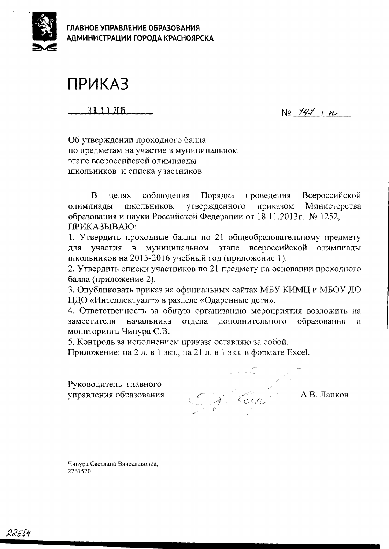

ГЛАВНОЕ УПРАВЛЕНИЕ ОБРАЗОВАНИЯ АДМИНИСТРАЦИИ ГОРОДА КРАСНОЯРСКА

## **ПРИКАЗ**

30.10.2015

 $N97471n$ 

Об утверждении проходного балла по предметам на участие в муниципальном этапе всероссийской олимпиады школьников и списка участников

<sub>B</sub> соблюдения Порядка проведения Всероссийской нелях олимпиады ШКОЛЬНИКОВ, утвержденного приказом Министерства образования и науки Российской Федерации от 18.11.2013г. № 1252, ПРИКАЗЫВАЮ:

1. Утвердить проходные баллы по 21 общеобразовательному предмету участия в муниципальном этапе всероссийской олимпиады ДЛЯ школьников на 2015-2016 учебный год (приложение 1).

2. Утвердить списки участников по 21 предмету на основании проходного балла (приложение 2).

3. Опубликовать приказ на официальных сайтах МБУ КИМЦ и МБОУ ДО ЦДО «Интеллектуал+» в разделе «Одаренные дети».

4. Ответственность за общую организацию мероприятия возложить на отлела дополнительного образования заместителя начальника  $\overline{M}$ мониторинга Чипура С.В.

5. Контроль за исполнением приказа оставляю за собой.

Приложение: на 2 л. в 1 экз., на 21 л. в 1 экз. в формате Excel.

Руководитель главного управления образования

Sul Can

А.В. Лапков

Чипура Светлана Вячеславовна, 2261520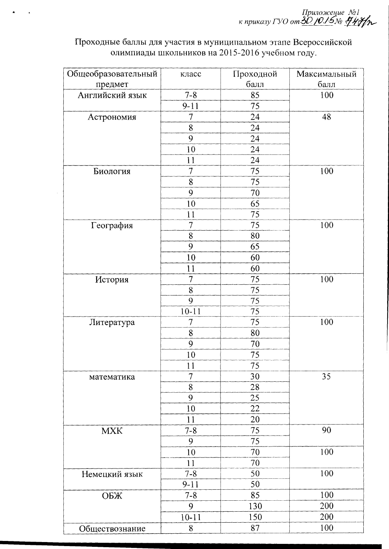Приложение №1<br>к приказу ГУО от <u>ЗО /0./5№</u> НИН

Проходные баллы для участия в муниципальном этапе Всероссийской<br>олимпиады школьников на 2015-2016 учебном году.

| Общеобразовательный | класс          | Проходной | Максимальный |
|---------------------|----------------|-----------|--------------|
| предмет             |                | балл      | балл         |
| Английский язык     | $7 - 8$        | 85        | 100          |
|                     | $9 - 11$       | 75        |              |
| Астрономия          | 7              | 24        | 48           |
|                     | $8\,$          | 24        |              |
|                     | 9              | 24        |              |
|                     | 10             | 24        |              |
|                     | 11             | 24        |              |
| Биология            | $\overline{7}$ | 75        | 100          |
|                     | 8              | 75        |              |
|                     | 9              | 70        |              |
|                     | 10             | 65        |              |
|                     | 11             | 75        |              |
| География           | $\overline{7}$ | 75        | 100          |
|                     | 8              | 80        |              |
|                     | 9              | 65        |              |
|                     | 10             | 60        |              |
|                     | 11             | 60        |              |
| История             | 7              | 75        | 100          |
|                     | 8              | 75        |              |
|                     | 9              | 75        |              |
|                     | $10 - 11$      | 75        |              |
| Литература          | 7              | 75        | 100          |
|                     | 8              | 80        |              |
|                     | 9              | 70        |              |
|                     | 10             | 75        |              |
|                     | 11             | 75        |              |
| математика          | 7              | 30        | 35           |
|                     | 8              | 28        |              |
|                     | 9              | 25        |              |
|                     | 10             | 22        |              |
|                     | 11             | 20        |              |
| <b>MXK</b>          | $7 - 8$        | 75        | 90           |
|                     | 9              | 75        |              |
|                     | 10             | 70        | 100          |
|                     | 11             | 70        |              |
| Немецкий язык       | $7 - 8$        | 50        | 100          |
|                     | $9 - 11$       | 50        |              |
| ОБЖ                 | $7 - 8$        | 85        | 100          |
|                     | 9              | 130       | 200          |
|                     | $10 - 11$      | 150       | 200          |
| Обшествознание      | 8              | 87        | 100          |